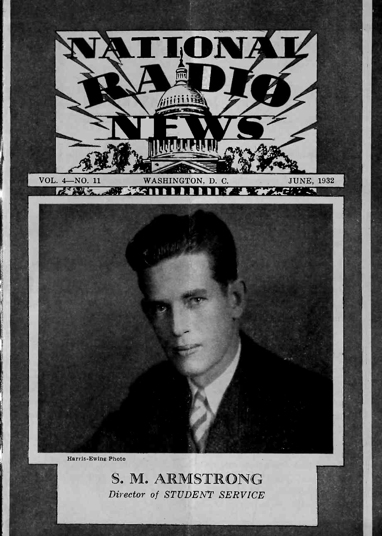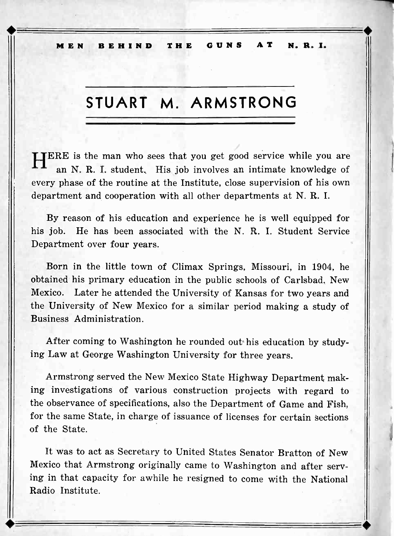MEN BEHIND THE GUNS AT N. R. I.

## STUART M. ARMSTRONG

**TERE** is the man who sees that you get good service while you are an N. R. I. student. His job involves an intimate knowledge of every phase of the routine at the Institute, close supervision of his own department and cooperation with all other departments at N. R. I.

By reason of his education and experience he is well equipped for his job. He has been associated with the N. R. I. Student Service Department over four years.

Born in the little town of Climax Springs, Missouri, in 1904, he obtained his primary education in the public schools of Carlsbad, New Mexico. Later he attended the University of Kansas for two years and the University of New Mexico for a similar period making a study of Business Administration.

After coming to Washington he rounded out his education by studying Law at George Washington University for three years.

Armstrong served the New Mexico State Highway Department making investigations of various construction projects with regard to the observance of specifications, also the Department of Game and Fish, for the same State, in charge of issuance of licenses for certain sections of the State.

It was to act as Secretary to United States Senator Bratton of New Mexico that Armstrong originally came to Washington and after serving in that capacity for awhile he resigned to come with the National Radio Institute.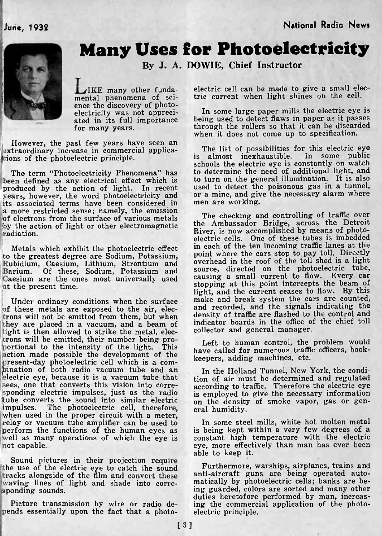!,June, 1932 National Radio News



## Many Uses for Photoelectricity

By J. A. DOWIE, Chief Instructor

LIKE many other funda-<br>mental phenomena of sci-<br>ence the discovery of photofor many years.

However, the past few years have seen an extraordinary increase in commercial applications of the photoelectric principle.

years, however, the word photoelectricity and or a mine, and given<br>its associated terms have been considered in men are working. its associated terms have been considered in a more restricted sense; namely, the emission of electrons from the surface of various metals<br>by the action of light or other electromagnetic the Ambassador Bridge, across the Detroit by the action of light or other electromagnetic radiation.

Metals which exhibit the photoelectric effect in each to the greatest degree are Sodium, Potassium, point w Rubidium, Caesium, Lithium, Strontium and overhea Barium. Of these, Sodium, Potassium and source, Caesium are the ones most universally used causing a small current to how. Every car<br>at the present time at the present time.

trons will not be emitted from them, but when they are placed in a vacuum, and a beam of light is then allowed to strike the metal, electrons will be emitted, their number being pro- portional to the intensity of the light. This action made possible the development of the Present-day photoelectric cell which is a com-<br>bination of both radio vacuum tube and an electric eye, because it is a vacuum tube that sees, one that converts this vision into corre-<br>sponding to traffic. Therefore the electric eyes, just as the radio<br>is employed to give the necessary information tube converts the sound into similar electric impulses. The photoelectric cell, therefore, impulses. The photoelectric cell, therefore, eral humidity.<br>
when used in the proper circuit with a meter,<br>
relay or vacuum tube amplifier can be used to perform the functions of the human eyes as is being kept within a ve well as many operations of which the eye is not capable.

Sound pictures in their projection require the use of the electric eye to catch the sound Furthermore, warships, airplanes, trains and  $\frac{1}{100}$  fracks alongside of the film and convert these anti-aircraft guns are being operated autotracks alongside of the film and convert these anti-aircraft guns are being operated auto-<br>waving lines of light and shade into corre-<br>sponding sounds.<br>sponding sounds. sponding sounds.

Picture transmission by wire or radio de-<br>pends essentially upon the fact that a photo- electric principle.

electric cell can be made to give a small electric current when light shines on the cell.

electricity was not appreci-<br>ated in its full importance being used to detect flaws in paper as it passes In some large paper mills the electric eye is through the rollers so that it can be discarded when it does not come up to specification.

The term "Photoelectricity Phenomena" has to determine the need of additional light, and<br>been defined as any electrical effect which is to turn on the general illumination. It is also<br>produced by the action of light. In re The list of possibilities for this electric eye<br>is almost inexhaustible. In some public almost inexhaustible. In some public schools the electric eye is constantly on watch to determine the need of additional light, and to turn on the general illumination. It is also used to detect the poisonous gas in a tunnel,

Under ordinary conditions when the surface make and break system the cars are counted,<br>of these metals are exposed to the air, elec-<br>from will not be emitted from them but when density of traffic are flashed to the control The checking and controlling of traffic over River, is now accomplished by means of photo-<br>electric cells. One of these tubes is imbedded in each of the ten incoming traffic lanes at the point where the cars stop to pay toll. Directly overhead in the roof of the toll shed is a light source, directed on the photoelectric tube, causing a small current to flow. Every car stopping at this point intercepts the beam of light, and the current ceases to flow. By this make and break system the cars are counted, and recorded, and the signals indicating the indicator boards in the office of the chief toll collector and general manager.

> Left to human control, the problem would have called for numerous traffic officers, bookkeepers, adding machines, etc.

In the Holland Tunnel, New York, the condition of air must be determined and regulated according to traffic. Therefore the electric eye on the density of smoke vapor, gas or gen-

is being kept within a very few degrees of a eye, more effectively than man has ever been able to keep it.

Furthermore, warships, airplanes, trains and matically by photoelectric cells; banks are beduties heretofore performed by man, increasing the commercial application of the photo-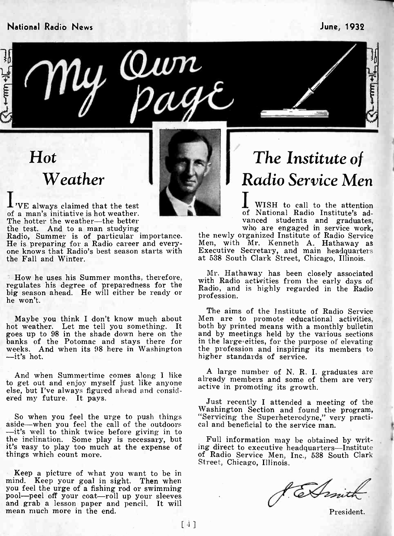#### National Radio News June, 1932





Ul Qun

I'VE always claimed that the test of a man's initiative is hot weather. The hotter the weather-the better<br>the test. And to a man studying

the Fall and Winter.

banks of the Potomac and stays there for<br>weeks. And when its 98 here in Washington<br>--it's hot.

And when Summertime comes along I like to get out and enjoy myself just like anyone else, but I've always figured ahead and consid-<br>ered my future. It pays.<br>Just recently I attended a meeting of the

-- it's well to think twice before giving in to the inclination. Some play is necessary, but it's easy to play too much at the expense of ing direct to executive headquarters---Institute things which count more.

Keep a picture of what you want to be in mind. Keep your goal in sight. Then when you feel the urge of a fishing rod or swimming pool--peel off your coat--roll up your sleeves and grab a lesson paper and pencil. It will mean much more in the end.

## The Institute of Radio Service Men

WISH to call to the attention of National Radio Institute's ad-

Radio, Summer is of particular importance. the newly organized Institute of Radio Service<br>He is preparing for a Radio career and every-<br>Men, with Mr. Kenneth A. Hathaway as<br>one knows that Radio's best season starts with<br>Ex who are engaged in service work,<br>the newly organized Institute of Radio Service<br>Men, with Mr. Kenneth A. Hathaway as

How he uses his Summer months, therefore,  $\frac{Mr}{Radio}$  activities from the early days of regulates his degree of preparedness for the big season ahead. He will either be ready or he won't. with Radio activities from the early days of profession.

Maybe you think I don't know much about Men are to promote educational activities,<br>hot weather. Let me tell you something. It both by printed means with a monthly bulletin<br>goes up to 98 in the shade down here on the and by The aims of the Institute of Radio Service Men are to promote educational activities, and by meetings held by the various sections in the large.eities, for the purpose of elevating the profession and inspiring its members to higher standards of service.

> A large number of N. R. I. graduates are already members and some of them are very active in promoting its growth.

So when you feel the urge to push things Washington Section and found the program,<br>aside—when you feel the call of the outdoors cal and beneficial to the service man. "Servicing the Superheterodyne," very practi-

> Full information may be obtained by writof Radio Service Men, Inc., 538 South Clark<br>Street, Chicago, Illinois.

Comit

President.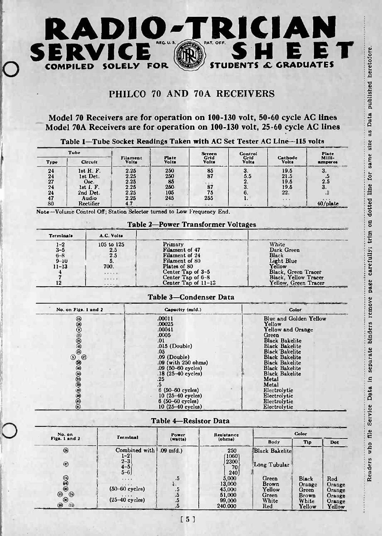

## PHILCO 70 AND 70A RECEIVERS

|                | Tube              |                   |                | <b>Screen</b> | Control       |                  | Piate            |
|----------------|-------------------|-------------------|----------------|---------------|---------------|------------------|------------------|
| Type           | Circult           | Filament<br>Volts | Plate<br>Volts | Grid<br>Volts | Grid<br>Volta | Cathode<br>Volts | MIII-<br>amperes |
| 24             | let R. F.         | 2.25              | 250            | 85            | s.            | 19.5             | 3.               |
| 24             | lst Det.          | 2.25              | 250            | 87            | 5.5           | 21.5             | - -              |
| 27             | Osc.              | 2.25              | 85             | 2.2.1         | 2.            | 19.5             | 2.5              |
| 24             | lst <i>I</i> . F. | 2.25              | 250            | 87            | o.            | 19.5             | З.               |
| 2 <sub>1</sub> | 2nd Det.          | 2.25              | 105            | 75            |               | 22.              | $\cdot$ 4        |
| 47             | Audio             | 2.25              | 245            | 255           | ı.            | $+ + +$          | $+ + +$          |
| 80             | Rectifier         |                   |                |               | $\cdots$      | $1.7 - 1.7$      | $40$ /plate      |

#### Table 2-Power Transformer Voltages

| <b>Terminals</b>                                       | A.C. Volta                             |                                                                                                    |                                                                             |
|--------------------------------------------------------|----------------------------------------|----------------------------------------------------------------------------------------------------|-----------------------------------------------------------------------------|
| $1 - 2$<br>$3 - 5$<br>$6 - 8$<br>$9 - 10$<br>$11 - 13$ | 105 to 125<br>2.5<br>2.5<br>5.<br>700. | Primary<br>Filament of 47<br>Filament of 24<br>Filament of 80<br>Plates of 80<br>Center Tap of 3-5 | White<br>Dark Green<br>Black<br>Light Blue<br>Yellow<br>Black, Green Tracer |
| 12                                                     | <br>.<br>1.1.1.1.1                     | Center Tap of 6-8<br>Center Tap of 11-13                                                           | <b>Black, Yellow Tracer</b><br>Yellow, Green Tracer                         |

#### Table 3-Condenser Data

|                                                                                                                                                        | Model 70 Receivers are for operation on 100-130 volt, 50-60 cycle AC lines |                                                                                                                                                                                        |                                    | PHILCO 70 AND 70A RECEIVERS                                                                                                                                                                                                                                                     |                                              |                                  |  |
|--------------------------------------------------------------------------------------------------------------------------------------------------------|----------------------------------------------------------------------------|----------------------------------------------------------------------------------------------------------------------------------------------------------------------------------------|------------------------------------|---------------------------------------------------------------------------------------------------------------------------------------------------------------------------------------------------------------------------------------------------------------------------------|----------------------------------------------|----------------------------------|--|
| Model 70A Receivers are for operation on 100-130 volt, 25-60 cycle AC lines<br>Table 1-Tube Socket Readings Taken with AC Set Tester AC Line-115 volts |                                                                            |                                                                                                                                                                                        |                                    |                                                                                                                                                                                                                                                                                 |                                              |                                  |  |
| Tube                                                                                                                                                   |                                                                            |                                                                                                                                                                                        |                                    | Control<br>Grid                                                                                                                                                                                                                                                                 |                                              | Piate                            |  |
| Circult<br>Type                                                                                                                                        | Filament<br>Volta                                                          | Plate<br>Volts                                                                                                                                                                         | Screen<br>Grid<br>Volts            | <b>Volts</b>                                                                                                                                                                                                                                                                    | Cathode<br>Volts                             | MIIII-<br>amperes                |  |
| lst R. F.<br>24<br>1st Det.<br>24<br>27<br>Osc.<br>24<br>$let$ $f$ . $F$ .<br>$^{2+}$<br>2nd Det.<br>47<br>Audio                                       | 2.25<br>2.25<br>2.25<br>2.25<br>2.25<br>2.25                               | 250<br>250<br>85<br>250<br>105<br>245                                                                                                                                                  | 85<br>87<br>87<br>75<br>255        | 3.<br>5.5<br>2.<br>3.<br>6.<br>1.                                                                                                                                                                                                                                               | 19.5<br>21.5<br>19.5<br>19.5<br>22.          | 3.<br>.5<br>2.5<br>3.<br>$\cdot$ |  |
| 80<br>Rectifier                                                                                                                                        | 4.7                                                                        | $\ddotsc$                                                                                                                                                                              | .                                  | .                                                                                                                                                                                                                                                                               | $\cdots$                                     | 40/plate                         |  |
| Note-Volume Control Off; Station Selector turned to Low Frequency End.                                                                                 |                                                                            |                                                                                                                                                                                        |                                    |                                                                                                                                                                                                                                                                                 |                                              |                                  |  |
|                                                                                                                                                        |                                                                            |                                                                                                                                                                                        | Table 2—Power Transformer Voltages |                                                                                                                                                                                                                                                                                 |                                              |                                  |  |
| <b>Terminals</b>                                                                                                                                       | A.C. Volta                                                                 |                                                                                                                                                                                        |                                    |                                                                                                                                                                                                                                                                                 |                                              |                                  |  |
| $1 - 2$<br>$3 - 5$<br>$6 - 8$<br>9–10<br>$11 - 13$<br>700.<br>4<br>7<br>12                                                                             | 105 to 125<br>2.5<br>2.5<br>5.<br>$\sim$ $\sim$ $\sim$                     | Primary<br>Filament of 47<br>Filament of 24<br>Filament of 80<br>Plates of 80<br>Center Tap of 3-5<br>Center Tap of 6-8<br>Center Tap of 11-13                                         |                                    | White<br>Dark Green<br><b>Black</b><br>Light Blue<br>Yellow<br>Black, Green Tracer<br>Black, Yellow Tracer<br>Yellow, Green Tracer                                                                                                                                              |                                              |                                  |  |
|                                                                                                                                                        |                                                                            |                                                                                                                                                                                        | Table 3—Condenser Data             |                                                                                                                                                                                                                                                                                 |                                              |                                  |  |
| No. on Figs. 1 and 2                                                                                                                                   |                                                                            | Capacity (mfd.)                                                                                                                                                                        |                                    |                                                                                                                                                                                                                                                                                 | Color                                        |                                  |  |
| 9000000<br>$^{\circ}$<br>$\odot$<br>DE ODE TE                                                                                                          |                                                                            | .00011<br>.00025<br>.00041<br>.0005<br>.01<br>.015 (Double)<br>.05<br>.09 (Double)<br>.09 (with 250 ohms)<br>.09 (50–60 cycles)<br>.18 (25-40 cycles)<br>.25<br>.5<br>6 (50-60 cycles) |                                    | Blue and Golden Yellow<br>Yellow<br>Yellow and Orange<br>Green<br><b>Black Bakelite</b><br><b>Black Bakelite</b><br><b>Black Bakelite</b><br><b>Black Bakelite</b><br><b>Black Bakelite</b><br><b>Black Bakelite</b><br><b>Black Bakelite</b><br>Metal<br>Metal<br>Electrolytic |                                              |                                  |  |
|                                                                                                                                                        |                                                                            | 10 (25-40 cycles)<br>6 (50-60 cycles)<br>10 (25-40 cycles)                                                                                                                             |                                    |                                                                                                                                                                                                                                                                                 | Electrolytic<br>Electrolytic<br>Electrolytic |                                  |  |

#### Table 4-Resistor Data

| No. on                                     | <b>Terminal</b>               | Power<br>(watte) | Resistance            | Color                 |                       |                  |
|--------------------------------------------|-------------------------------|------------------|-----------------------|-----------------------|-----------------------|------------------|
| Figs. 1 and 2                              |                               |                  | (ohme)                | Body                  | Tip                   | Dot              |
| ◎                                          | Combined with  <br>1-21       | $.09$ mfd.)      | 250<br>$1060^{\circ}$ | <b>Black Bakelite</b> |                       |                  |
| $\circledR$                                | $2 - 3$<br>$4 - 5$<br>$5 - 6$ |                  | 2300<br>70            | Long Tubular          |                       |                  |
| 838                                        | 1.1.1                         | .5               | 240<br>5,000          | Green<br><b>Brown</b> | Black                 | Red              |
|                                            | 1.1.7.4<br>$(50-60$ cycles)   | .5               | 13,000<br>45,000      | Yellow                | Orange<br>Green       | Orange<br>Orange |
| $^{\circ}$<br>$\circledcirc$ <sup>24</sup> | .<br>$(25-40$ cycles)         | د.<br>۵.         | 51,000<br>99,000      | Green<br>White        | <b>Brown</b><br>White | Orange<br>Orange |
| ◉<br>(x)                                   | $-  -  1 -  1$                | .                | 240,000               | Red                   | Yellow                | Yellow           |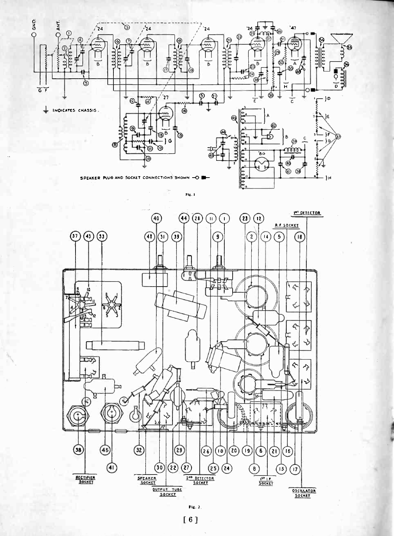

FIR. I



Fig.  $2$ 

[ 6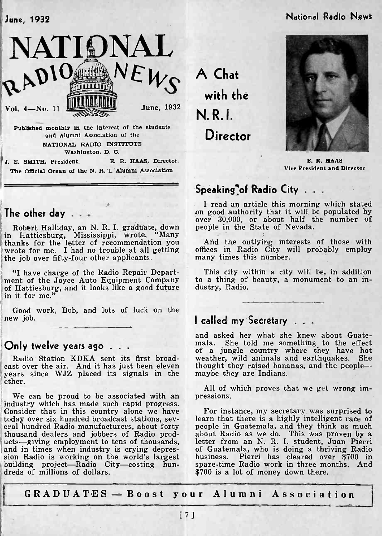## June, 1932 National Radio News



and Alumni Association of the NATIONAL RADIO INSTITUTE Washington. D. C.

J. E. SMITH, President. E. R. HAAS, Director. The Official Organ of the N. R. I. Alumni Association

The other day . . .

Robert Halliday, an N. R. I. graduate, down in Hattiesburg, Mississippi, wrote, "Many thanks for the letter of recommendation you wrote for me. I had no trouble at all getting the job over fifty-four other applicants.

"I have charge of the Radio Repair Depart-<br>ment of the Joyce Auto Equipment Company to a thing of<br>of Hattiesburg, and it looks like a good future dustry, Radio. of Hattiesburg, and it looks like a good future in it for me."

Good work, Bob, and lots of luck on the new job.

#### Only twelve years ago . . .

Radio Station KDKA sent its first broad-<br>cast over the air. And it has just been eleven years since WJZ placed its signals in the maybe they are Indians. ether.

We can be proud to be associated with an pressions. industry which has made such rapid progress. Consider that in this country alone we have eral hundred Radio manufacturers, about forty people in Guatemala, and they think as much<br>thousand dealers and jobbers of Radio prod- about Radio as we do. This was proven by a thousand dealers and jobbers of Radio prod-<br>
ucts-giving employment to tens of thousands, lett<br>
and in times when industry is crying depres-<br>
of the world's largest<br>
bus:<br>
bus: building project-Radio City-costing hundreds of millions of dollars.

A Chat with the N. R. I. Director



E. R. HAAS Vice President and Director

## Speaking<sup>7</sup> of Radio City . . .

I read an article this morning which stated on good authority that it will be populated by over 30,000, or about half the number of people in the State of Nevada.

And the outlying interests of those with offices in Radio City will probably employ many times this number.

This city within a city will be, in addition to a thing of beauty, a monument to an in-

## I called my Secretary . . .

and asked her what she knew about Guatemala. She told me something to the effect of a jungle country where they have hot weather, wild animals and earthquakes. She thought they raised bananas, and the people-

All of which proves that we get wrong im-

For instance, my secretary was surprised to learn that there is a highly intelligent race of about Radio as we do. This was proven by a of Guatemala, who is doing a thriving Radio business. Pierri has cleared over \$700 in spare -time Radio work in three months. And \$700 is a lot of money down there.

GRADUATES - Boost your Alumni Association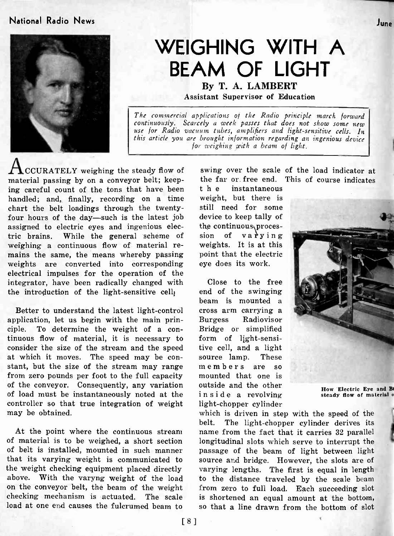### National Radio News June



# WEIGHING WITH A BEAM OF LIGHT

By T. A. LAMBERT Assistant Supervisor of Education

The commercial applications of the Radio principle march forward continuously. Scarcely a week passes that does not show some new use for Radio vacuum tubes, amplifiers and light-sensitive cells. In this article you are brought information regarding an ingenious device for weighing with a beam of light.

CCURATELY weighing the steady flow of material passing by on a conveyor belt; keeping careful count of the tons that have been handled; and, finally, recording on a time chart the belt loadings through the twenty- four hours of the day-such is the latest job assigned to electric eyes and ingenious electric brains. While the general scheme of weighing a continuous flow of material remains the same, the means whereby passing weights are converted into corresponding electrical impulses for the operation of the integrator, have been radically changed with the introduction of the light-sensitive cell.

Better to understand the latest light-control application, let us begin with the main principle. To determine the weight of a continuous flow of material, it is necessary to consider the size of the stream and the speed at which it moves. The speed may be con- stant, but the size of the stream may range from zero pounds per foot to the full capacity of the conveyor. Consequently, any variation of load must be instantaneously noted at the controller so that true integration of weight may be obtained.

At the point where the continuous stream of material is to be weighed, a short section of belt is installed, mounted in such manner that its varying weight is communicated to the weight checking equipment placed directly above. With the varyng weight of the load on the conveyor belt, the beam of the weight checking mechanism is actuated. The scale load at one end causes the fulcrumed beam to

swing over the scale of the load indicator at the far or. free end. This of course indicates

instantaneous weight, but there is still need for some device to keep tally of the continuous procession of  $\mathbf{v}$ arrying weights. It is at this point that the electric eye does its work.

Close to the free end of the swinging beam is mounted a<br>cross arm carrying a Burgess Radiovisor Bridge or simplified form of light-sensitive cell, and a light source lamp. members are so outside and the other inside a revolving steady flow of material or light -chopper cylinder





How Electric Eye and B

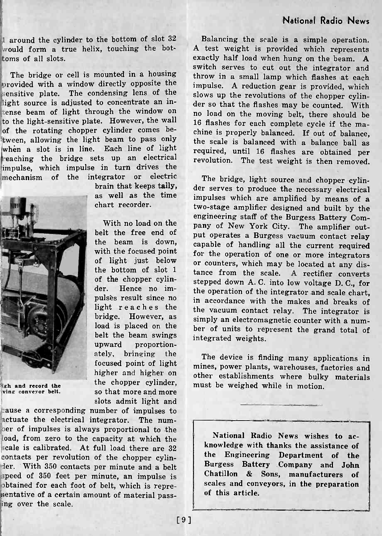1 around the cylinder to the bottom of slot 32 Balancing the scale is a simple operation.<br>would form a true helix, touching the bot-<br>A test weight is provided which represents would form a true helix, touching the bottoms of all slots.

The bridge or cell is mounted in a housing provided with a window directly opposite the sensitive plate. The condensing lens of the light source is adjusted to concentrate an intense beam of light through the window on to the light-sensitive plate. However, the wall 'of the rotating chopper cylinder comes between, allowing the light beam to pass only when a slot is in line. Each line of light eaching the bridge sets up an electrical impulse, which impulse in turn drives the mechanism of the integrator or electric brain that keeps tally, as well as the time

chart recorder.

the beam is down, with the focused point of light just below the bottom of slot 1 of the chopper cylinder. Hence no impulses result since no light reaches the bridge. However, as load is placed on the belt the beam swings upward proportionately, bringing the focused point of light higher and higher on the chopper cylinder, so that more and more slots admit light and



sh and record the vine conveyor belt.

cause a corresponding number of impulses to actuate the electrical integrator. The numlber of impulses is always proportional to the load, from zero to the capacity at which the scale is calibrated. At full load there are  $32$   $\phantom{0}$  knowledge with the contacts ner revolution of the channer cylin contacts per revolution of the chopper cylin der. With 350 contacts per minute and a belt speed of 350 feet per minute, an impulse is | Chatillon !obtained for each foot of belt, which is representative of a certain amount of material passing over the scale.

Balancing the scale is a simple operation. exactly half load when hung on the beam. A switch serves to cut out the integrator and throw in a small lamp which flashes at each impulse. A reduction gear is provided, which slows up the revolutions of the chopper cylinder so that the flashes may be counted. With no load on the moving belt, there should be 16 flashes for each complete cycle if the machine is properly balanced. If out of balance, the scale is balanced with a balance ball as required, until <sup>16</sup> flashes are obtained per revolution. The test weight is then removed.

engineering staff of the Burgess Battery Com-<br>With no load on the name of New York City, The small belt the free end of put operates a Burgess vacuum contact relay The bridge, light source and chopper cylinder serves to produce the necessary electrical impulses which are amplified by means of a two -stage amplifier designed and built by the pany of New York City. The amplifier outcapable of handling all the current required for the operation of one or more integrators or counters, which may be located at any distance from the scale. A rectifier converts stepped down A. C. into low voltage D. C., for the operation of the integrator and scale chart, in accordance with the makes and breaks of the vacuum contact relay. The integrator is simply an electromagnetic counter with a number of units to represent the grand total of integrated weights.

> The device is finding many applications in mines, power plants, warehouses, factories and other establishments where bulky materials must be weighed while in motion.

National Radio News wishes to acknowledge with thanks the assistance of Department of the Burgess Battery Company and John & Sons, manufacturers of scales and conveyors, in the preparation of this article.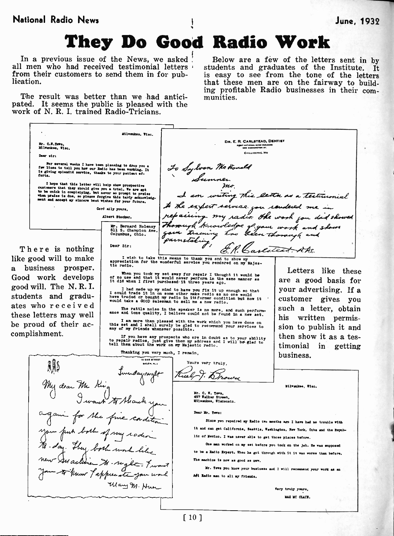## They Do Good Radio Work

In a previous issue of the News, we asked all men who had received testimonial letters students and graduates of the Institute. It from their customers to send them in for pub-<br>is easy to see from the tone of the letters from their customers to send them in for publication.

The result was better than we had anticipated. It seems the public is pleased with the work of N. R. I. trained Radio-Tricians.

Below are a few of the letters sent in by students and graduates of the Institute. It that these men are on the fairway to building profitable Radio businesses in their com- munities.

Milweokee, Viso. DR. E. R. CARLSTEAD, DENTIST<br>
Figure that longer and dividend<br>
State manufacture at. Mr. C.W.Tews. Milemukee, Viso. CHILLICOTHE, MO Docr sir: For eeversi weeks I have been planning to drop you a<br>is giving splendid service, thanks to your patient ef-<br>forts.<br>forts. mo cance and this letter will help show prospective<br>castomers that they should give you a trial. We are got<br>to be outch in complaining, but never so prompt to praise<br>when praise is due, so please forgive this tardy achieveled I am writing this letter as a testimonial Cord ally yours.  $\begin{array}{l} \mathcal{P} \ \text{max.} \\ \text{mean.} \\ \text{mean.} \\ \text{mean.} \\ \text{mean.} \\ \text{mean.} \\ \text{mean.} \\ \text{sum.} \\ \text{sum.} \\ \text{sum.} \\ \text{sum.} \\ \text{sum.} \\ \text{sum.} \\ \text{sum.} \\ \text{sum.} \\ \text{sum.} \\ \text{sum.} \\ \text{sum.} \\ \text{sum.} \\ \text{sum.} \\ \text{sum.} \\ \text{sum.} \\ \text{sum.} \\ \text{sum.} \\ \text{max.} \\ \text{max.} \\ \text{sum.} \\ \text{sum.} \\ \text{sum.} \\ \text{$ Albert Stocker. the work you did showed Mr. Bernard Holency | 2202<br>511 S. Champion Ave. | 5014<br>Columbus, Ohio. | 5014 Deer Sir: There is nothing like good will to make appreciation for the wonderful service you rendered on my Majes-<br>tic radio. a business prosper. Letters like these When you took my set away for repair I thought it would be<br>of no use and that it would never perform in the same manner as<br>it did when I first purchased it three years ago. Good work develops are a good basis for good will. The N. R. I. your advertising. If a I had mede up wy mind to have you fix it up enough so that<br>I could trade it in on some other make radio as no one would<br>have traded or bought my radio in its former condition but now it ... () students and gradu-<br>ates who received customer gives you such a letter, obtain The rattle noise in the speaker is no more, and such perform-ance and tone quality, I believe could not be found in a new set. these letters may well his written permisbe proud of their ac-I am more than pleased with the work which you have done on<br>this set and I shall surely be glad to recommend your services to SI<br>any of my friends whenever possible. sion to publish it and complishment. then show it as a tes-If you have any prospects who are in doubt as to your ability<br>to repair radios, just give them my address and I will be glad to<br>tell them about the work on my Majastic radio. timonial in getting Thanking you very much, I remain, business. IS OAK STARET  $\mathbb{R}$   $\mathbb{R}$   $\mathbb{R}$   $\mathbb{R}$   $\mathbb{R}$   $\mathbb{R}$   $\mathbb{R}$   $\mathbb{R}$   $\mathbb{R}$   $\mathbb{R}$   $\mathbb{R}$   $\mathbb{R}$   $\mathbb{R}$   $\mathbb{R}$   $\mathbb{R}$   $\mathbb{R}$   $\mathbb{R}$   $\mathbb{R}$   $\mathbb{R}$   $\mathbb{R}$   $\mathbb{R}$   $\mathbb{R}$   $\mathbb{R}$   $\mathbb{R}$   $\mathbb{$ 1. Kr My dear Mr King Milos:Wm, Viso. I won't thank Mr. C. W. Tows,<br>497 Walker Street,<br>Milwaukee, Wisconsin, Dear Mr. Tows: game for the fine condition Since you repaired my Radio two months ago I have had no trouble with you fuck both of my radia it and can get California, Seattle, Weshington, New York, Cuba and the Republic of Mexico. I was never able to get those places before. One man worked on my set before you took on the job. He was supposed to be a Radio Expert. When he got through with it it was worse than before. Harline to night - I want The nechtee is now as good es sow. Mr. Tews you know your business and I will recommend your work as an API Radio man to all my friends. Way M. Hun Very truly yours. MAX MC CLAIM.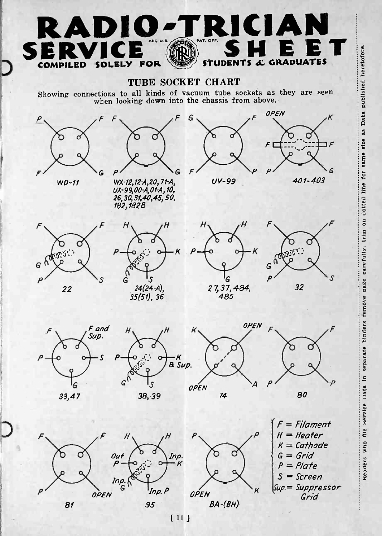## RADIO-TRICIAN SERVICE OF SHEET COMPILED SOLELY FOR STUDENTS & GRADUATES

TUBE SOCKET CHART



Sup= Suppressor Grid

 $[11]$ 

95

 $BA-(BH)$ 

81

OPEN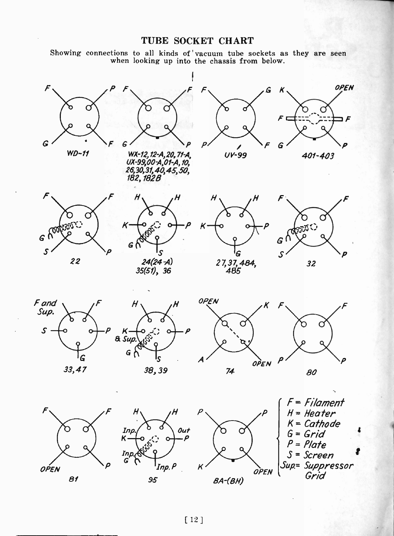### TUBE SOCKET CHART

Showing connections to all kinds of vacuum tube sockets as they are seen when looking up into the chassis from below.

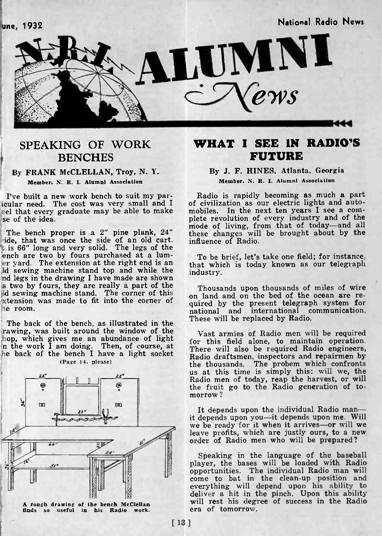une, 1932 National Radio News



## SPEAKING OF WORK **BENCHES**

#### By FRANK McCLELLAN, Troy, N. Y. Member, N. R. I. Alumni Association

I've built a new work bench to suit my par-<br>icular need. The cost was very small and I se of the idea.

is 66" long and very solid. The legs of the<br>
ench are two by fours purchased at a lum-<br>
er yard. The extension at the right end is an  $\frac{1}{2}$  that which is today known as our telegraph<br>
id sewing machine stand top and w nd legs in the drawing I have made are shown is two by fours, they are really a part of the Thousands upon thousands of miles of wire Id sewing machine stand. The corner of this  $\begin{bmatrix} 1 \\ 0 \\ 0 \\ 0 \\ 0 \\ 0 \\ 0 \\ 0 \\ 0$  $\alpha$  stension was made to fit into the corner of  $\alpha$  on he room.

The back of the bench, as illustrated in the rawing, was built around the window of the  $(Pase 14, please)$ 



A rough drawing of the bench McClellan finds so useful in his Radio work.

## WHAT I SEE IN RADIO'S FUTURE

#### By J. F. HINES, Atlanta, Georgia Member, N. R. I. Alumni Association

pel that every graduate may be able to make mobiles. In the next ten years I see a com-The bench proper is a 2" pine plank, 24" and contribution of the brought about by the ide, that was once the side of an old cart. influence of Radio. Radio is rapidly becoming as much <sup>a</sup> part of civilization as our electric lights and autoplete revolution of every industry and of the these changes will be brought about by the influence of Radio.

> that which is today known as our telegraph industry.

> on land and on the bed of the ocean are required by the present telegraph system for national and international communication. These will be replaced by Radio.

hop, which gives me an abundance of light<br>in the work I am doing. Then, of course, at here will also be required Radio engineers,<br>he back of the bench I have a light socket Radio draftsmen, inspectors and repairmen by Vast armies of Radio men will be required for this field alone, to maintain operation. There will also be required Radio engineers, Radio draftsmen, inspectors and repairmen by the thousands. The probem which confronts us at this time is simply this: will we, the Radio men of today, reap the harvest, or will the fruit go to the Radio generation of tomorrow ?

> It depends upon the individual Radio manit depends upon you-it depends upon me. Will we be ready for it when it arrives-or will we leave profits, which are justly ours, to a new order of Radio men who will be prepared?

Speaking in the language of the baseball player, the bases will be loaded with Radio opportunities. The individual Radio man will come to bat in the clean-up position and everything will depend upon his ability to deliver a hit in the pinch. Upon this ability will rest his degree of success in the Radio will rest his degree of success in the Radio era of tomorrow.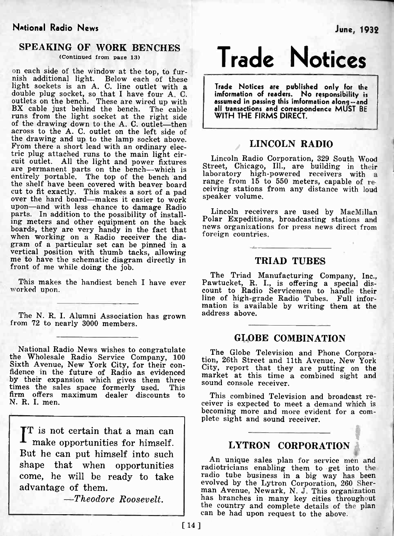### National Radio News June, 1932

### SPEAKING OF WORK BENCHES

(Continued from page 13)

on each side of the window at the top, to fur-<br>nish additional light. Below each of these light sockets is an A. C. line outlet with a<br>double plug socket, so that I have four A. C. imformed<br>outlets on the bench. These are wired up with<br>BX cable just behind the bench. The cable all to<br>runs from the light socket of the drawing down to the A. C. outlet—then<br>across to the A. C. outlet on the left side of<br>the drawing and up to the lamp socket above. From there a short lead with an ordinary electric plug attached runs to the main light cirtric plug attached runs to the main light cir-<br>are permanent parts on the bench-which is entirely power fixtures are permanent parts on the bench-which is entirely powered receivers with a<br>entirely portable. The top of the the shelf have been covered with beaver board<br>cut to fit exactly. This makes a sort of a pad<br>evening stations from any distance with loud over the hard board-makes it easier to work upon—and with less chance to damage Radio<br>narts In addition to the possibility of install Lincoln receivers are used by MacMillan parts. In addition to the possibility of installing meters and other equipment on the back<br>boards, they are very handy in the fact that<br>when working on a Radio receiver the dia-<br>gram of a particular set can be pinned in a<br>vertical position with thumb tacks, allowing<br>me front of me while doing the job.

worked upon.

The N. R. I. Alumni Association has grown from 72 to nearly 3000 members.

National Radio News wishes to congratulate The Globe Television and Phone Corpora-<br>the Wholesale Radio Service Company, 100<br>Sixth Avenue, New York City, for their con-<br>fidence in the future of Radio as evidenced<br>market at this time a combined sight and by their expansion which gives them three times the sales space formerly used. This firm offers maximum dealer discounts to N. R. I. men.

 $\left.\prod_{}^{T}\right.^{}_{\text{in}}$  is not certain that a man can make opportunities for himself. But he can put himself into such shape that when opportunities come, he will be ready to take advantage of them.

-Theodore Roosevelt.

Trade Notices

Trade Notices are published only for the imformation of readers. No responsibility is assumed in passing this imformation along --and all transactions and correspondence MUST BE WITH THE FIRMS DIRECT.

#### LINCOLN RADIO

Street, Chicago, Ill., are building in their laboratory high-powered receivers with a range from  $15$  to  $550$  meters, capable of respeaker volume.

Polar Expeditions, broadcasting stations and news organizations for press news direct from foreign countries.

#### TRIAD TUBES

The Triad Manufacturing Company, Inc.,<br>This makes the handiest bench I have ever Pawtucket, R. I., is offering a special dis-Pawtucket, R. I., is offering a special dis-<br>count to Radio Servicemen to handle their line of high-grade Radio Tubes. Full infor- mation is available by writing them at the address above.

### GLOBE COMBINATION

The Globe Television and Phone Corpora-City, report that they are putting on the market at this time a combined sight and sound console receiver.

This combined Television and broadcast receiver is expected to meet a demand which is becoming more and more evident for a com- plete sight and sound receiver.

## LYTRON CORPORATION

An unique sales plan for service men and radiotricians enabling them to get into the radio tube business in a big way has been evolved by the Lytron Corporation, 260 Sher-<br>man Avenue, Newark, N. J. This organization<br>has branches in many key cities throughout has branches in many key cities throughout the country and complete details of the plan can be had upon request to the above.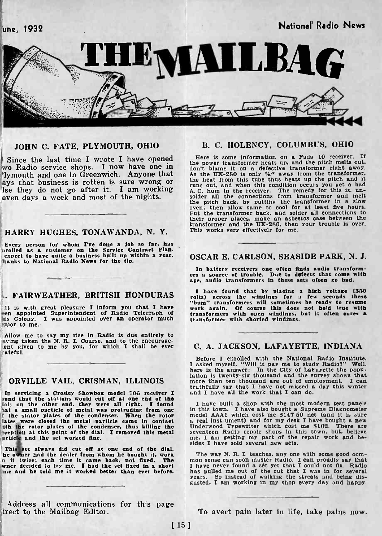une, 1932 National Radio News



#### JOHN C. FATE, PLYMOUTH, OHIO

ays that business is rotten is sure wrong or Ise they do not go after it. I am working even days a week and most of the nights.

#### HARRY HUGHES, TONAWANDA, N. Y.

Every person for whom I've done a job so far, has "rolled as a customer on the Service Contract Plan." expect to have quite a business built up within a year.<br>hanks to National Radio News for the tip.

#### L. FAIRWEATHER, BRITISH HONDURAS

It is with great pleasure I inform you that I have<br>een appointed Superintendent of Radio Telegraph of his Colony. I was appointed over an operator much ?nior to me.

Allow me to say my rise in Radio is due entirely to aving taken the N. R. I. Course, and to the encourageent given to me by you, for which I shall be ever ateful.

In servicing a Crosley Showbox model 706 receiver I and I sund that the stations would cut off at one end of the lal; on the other end, they were all right. I found I hat a small particle of metal was protruding from one i The stator plates of the condenser. When the rotor ates were closed the metal particle came in contact in cental in the rotor plates of the condenser, thus killing the Undenseption at this point of the dial. I removed this article and the set worked fine.

This set always did cut off at one end of the dial.<br>he owner had the dealer from whom he bought it, work The<br>n it twice; each time it came back, not fixed. The mon se wner decided to try me. I had the set fixed in a short me and he told me it worked better than ever before.

Address all communications for this page irect to the Mailbag Editor.

#### B. C. HOLENCY, COLUMBUS, OHIO

Since the last time I wrote I have opened Here is some information on a Fada 10 receiver. If<br>wo Radio service shops. I now have one in the power transformer heats up, and the pitch melts out.<br>Nymouth and one in Greenwich. Here is some information on a Fada 10 receiver. If don't blame it on a defective transformer right away.<br>As the UX-280 is only  $\mathcal{H}^{\omega}$  away from the transformer.<br>As the UX-280 is only  $\mathcal{H}^{\omega}$  away from the transformer.<br>The heat from this too thus heats up the pit solder all the connections from transformer and melt the pitch back, by putting the transformer in a slow oven; then allow same to cool for at least five hours. Put the transformer back. and solder all connections to Put t their proper places. make an asbestos case between the transformer and the UX-280, then your trouble is over. This works very effectively for me.

#### OSCAR E. CARLSON, SEASIDE PARK, N. J.

In battery receivers one often finds audio transform-<br>ers a source of trouble. Due to defects that come with<br>age, audio transformers in these sets often go bad.

I have found that by placing a high voltage (350<br>volts) across the windings for a few seconds these<br>"bum" transformers will sometimes be ready to resume<br>work again. Of course this does not hold true with<br>transformers with transformer with shorted windings.

#### C. A. JACKSON, LAFAYETTE, INDIANA

ORVILLE VAIL, CRISMAN, ILLINOIS lation is twenty-six thousand and the survey shows that more than ten thousand are out of employment. I can Before I enrolled with the National Radio Institute. I asked myself, "Will it pay me to study Radio?" Well. here is the answer: In the City of LaPayette the popumore than ten thousand are out of employment. I can truthfully say that I have not missed a day this winter and I have all the work that I can do.

> I have built a shop with the most modern test panels<br>in this town. I have also bought a Supreme Diagnometer model AAA1 which cost me \$147.50 net (and it is sure a real instrument) and for my desk I have bought a new Underwood Typewriter which cost me \$102. There are seventeen Radio repair shops in this town, but. believe me, I am getting my part of the repair work and be- sides I have sold several new sets.

The way N. R. I. teaches, any one with some good com-<br>
mon sense can soon master Radio. I can proudly say that<br>
I have never found a set yet that I could not fix. Radio<br>
has pulled me out of the rut that I was in for sever years. So instead of walking the streets and being dis- gusted, I am working in my shop every day and happy.

To avert pain later in life, take pains now.